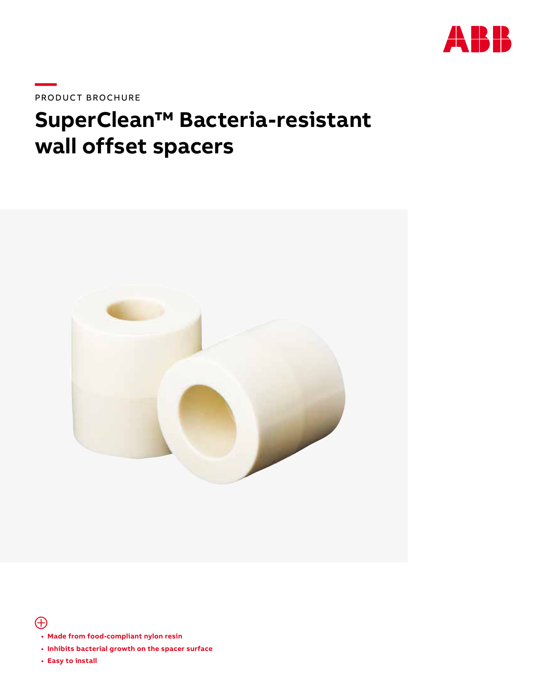

PRODUCT BROCHURE

# **SuperClean™ Bacteria-resistant wall offset spacers**



 $\bigoplus$ 

- **Made from food-compliant nylon resin**
- **Inhibits bacterial growth on the spacer surface**
- **Easy to install**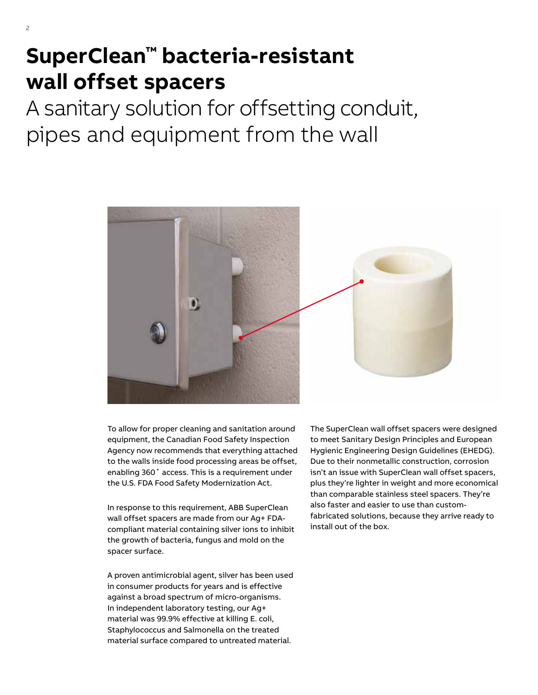# **SuperClean™ bacteria-resistant wall offset spacers**

A sanitary solution for offsetting conduit, pipes and equipment from the wall



To allow for proper cleaning and sanitation around equipment, the Canadian Food Safety Inspection Agency now recommends that everything attached to the walls inside food processing areas be offset, enabling 360˚ access. This is a requirement under the U.S. FDA Food Safety Modernization Act.

In response to this requirement, ABB SuperClean wall offset spacers are made from our Ag+ FDAcompliant material containing silver ions to inhibit the growth of bacteria, fungus and mold on the spacer surface.

A proven antimicrobial agent, silver has been used in consumer products for years and is effective against a broad spectrum of micro-organisms. In independent laboratory testing, our Ag+ material was 99.9% effective at killing E. coli, Staphylococcus and Salmonella on the treated material surface compared to untreated material.

The SuperClean wall offset spacers were designed to meet Sanitary Design Principles and European Hygienic Engineering Design Guidelines (EHEDG). Due to their nonmetallic construction, corrosion isn't an issue with SuperClean wall offset spacers, plus they're lighter in weight and more economical than comparable stainless steel spacers. They're also faster and easier to use than customfabricated solutions, because they arrive ready to install out of the box.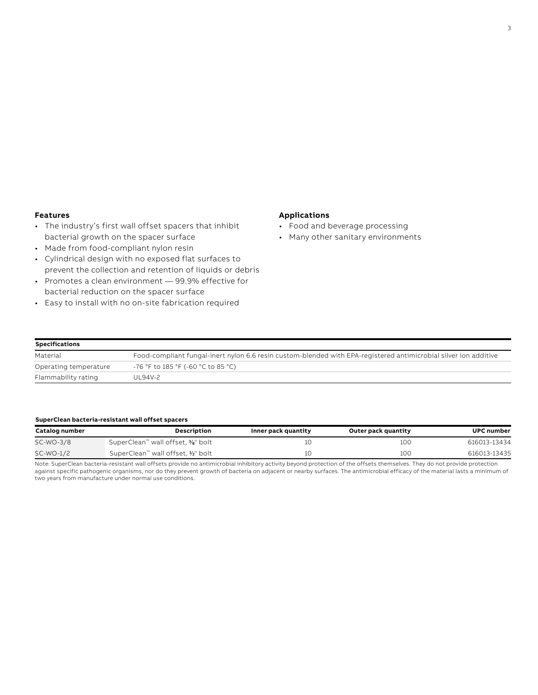#### **Features**

- The industry's first wall offset spacers that inhibit bacterial growth on the spacer surface
- Made from food-compliant nylon resin
- Cylindrical design with no exposed flat surfaces to prevent the collection and retention of liquids or debris
- Promotes a clean environment 99.9% effective for bacterial reduction on the spacer surface
- Easy to install with no on-site fabrication required

# **Applications**

- Food and beverage processing
- Many other sanitary environments

| <b>Specifications</b>                                                                                                        |                                    |
|------------------------------------------------------------------------------------------------------------------------------|------------------------------------|
| Food-compliant fungal-inert nylon 6.6 resin custom-blended with EPA-registered antimicrobial silver ion additive<br>Material |                                    |
| Operating temperature                                                                                                        | -76 °F to 185 °F (-60 °C to 85 °C) |
| Flammability rating                                                                                                          | UL94V-2                            |

## **SuperClean bacteria-resistant wall offset spacers**

| Catalog number | <b>Description</b>                 | Inner pack quantity | Outer pack quantity | <b>UPC number</b> |
|----------------|------------------------------------|---------------------|---------------------|-------------------|
| SC-WO-3/8      | SuperClean™ wall offset, %" bolt   |                     | 10C                 | 616013-13434      |
| SC-WO-1/2      | SuperClean™ wall offset, 1/2" bolt |                     | 100                 | 616013-13435      |

Note: SuperClean bacteria-resistant wall offsets provide no antimicrobial inhibitory activity beyond protection of the offsets themselves. They do not provide protection against specific pathogenic organisms, nor do they prevent growth of bacteria on adjacent or nearby surfaces. The antimicrobial efficacy of the material lasts a minimum of two years from manufacture under normal use conditions.